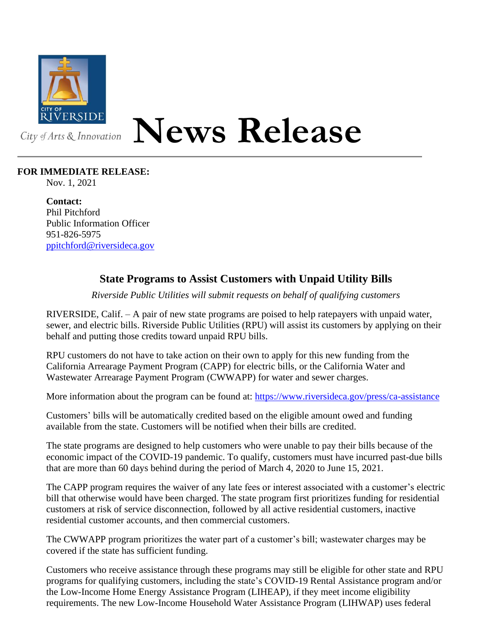

## **News Release**

## **FOR IMMEDIATE RELEASE:**

Nov. 1, 2021

**Contact:** Phil Pitchford Public Information Officer 951-826-5975 [ppitchford@riversideca.gov](mailto:ppitchford@riversideca.gov)

## **State Programs to Assist Customers with Unpaid Utility Bills**

*Riverside Public Utilities will submit requests on behalf of qualifying customers*

RIVERSIDE, Calif. – A pair of new state programs are poised to help ratepayers with unpaid water, sewer, and electric bills. Riverside Public Utilities (RPU) will assist its customers by applying on their behalf and putting those credits toward unpaid RPU bills.

RPU customers do not have to take action on their own to apply for this new funding from the California Arrearage Payment Program (CAPP) for electric bills, or the California Water and Wastewater Arrearage Payment Program (CWWAPP) for water and sewer charges.

More information about the program can be found at:<https://www.riversideca.gov/press/ca-assistance>

Customers' bills will be automatically credited based on the eligible amount owed and funding available from the state. Customers will be notified when their bills are credited.

The state programs are designed to help customers who were unable to pay their bills because of the economic impact of the COVID-19 pandemic. To qualify, customers must have incurred past-due bills that are more than 60 days behind during the period of March 4, 2020 to June 15, 2021.

The CAPP program requires the waiver of any late fees or interest associated with a customer's electric bill that otherwise would have been charged. The state program first prioritizes funding for residential customers at risk of service disconnection, followed by all active residential customers, inactive residential customer accounts, and then commercial customers.

The CWWAPP program prioritizes the water part of a customer's bill; wastewater charges may be covered if the state has sufficient funding.

Customers who receive assistance through these programs may still be eligible for other state and RPU programs for qualifying customers, including the state's COVID-19 Rental Assistance program and/or the Low-Income Home Energy Assistance Program (LIHEAP), if they meet income eligibility requirements. The new Low-Income Household Water Assistance Program (LIHWAP) uses federal